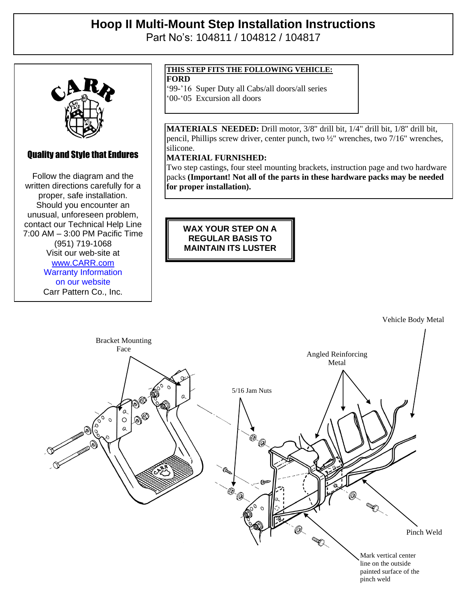# **Hoop II Multi-Mount Step Installation Instructions**

Part No's: 104811 / 104812 / 104817



## Quality and Style that Endures

 $\mathbb{R}$  and Style that Endures that Endures is  $\mathbb{R}$ Follow the diagram and the written directions carefully for a written directions carefully for a proper, safe installation. proper, safe installation. Should you encounter an Should you encounter an unusual, unforeseen problem, unusual, unforeseen problem, contact our Technical Help Line contact our Technical Help Line 7:00 AM – 3:00 PM Pacific Time 7:00 AM – 3:00 PM Pacific Time (951) 719-1068 (951) 719-1068 Visit our web-site at Visit our web-site at www.com [www.CARR.com](http://www.carr.com/) Warranty Information on our website Carr Pattern Co., Inc.

### **THIS STEP FITS THE FOLLOWING VEHICLE:**

**FORD**

'99-'16 Super Duty all Cabs/all doors/all series

'00-'05 Excursion all doors

**MATERIALS NEEDED:** Drill motor, 3/8" drill bit, 1/4" drill bit, 1/8" drill bit, pencil, Phillips screw driver, center punch, two ½" wrenches, two 7/16" wrenches, silicone.

### **MATERIAL FURNISHED:**

Two step castings, four steel mounting brackets, instruction page and two hardware packs **(Important! Not all of the parts in these hardware packs may be needed for proper installation).**

**WAX YOUR STEP ON A REGULAR BASIS TO MAINTAIN ITS LUSTER**

Vehicle Body Metal